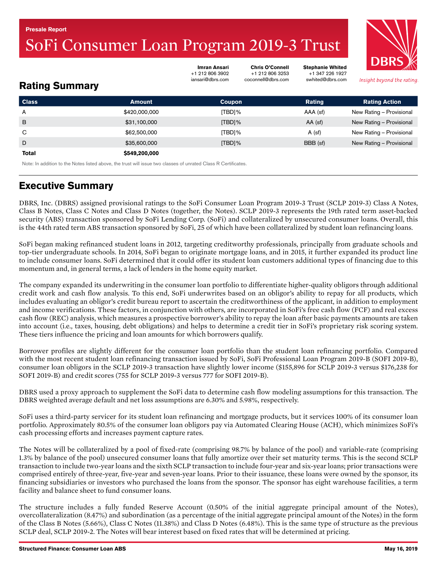# <span id="page-0-0"></span>SoFi Consumer Loan Program 2019-3 Trust



Insight beyond the rating.

Stephanie Whited +1 347 226 1927 swhited@dbrs.com

Chris O'Connell +1 212 806 3253 coconnell@dbrs.com

# Rating Summary

| <b>Class</b> | <b>Amount</b> | Coupon    | Rating    | <b>Rating Action</b>     |
|--------------|---------------|-----------|-----------|--------------------------|
| A            | \$420,000,000 | [TBD]%    | AAA (sf)  | New Rating - Provisional |
| B            | \$31,100,000  | $[TBD]\%$ | $AA$ (sf) | New Rating - Provisional |
| C            | \$62,500,000  | [TBD]%    | $A$ (sf)  | New Rating - Provisional |
| D            | \$35,600,000  | $[TBD]\%$ | BBB (sf)  | New Rating - Provisional |
| <b>Total</b> | \$549,200,000 |           |           |                          |

Imran Ansari +1 212 806 3902 iansari@dbrs.com

Note: In addition to the Notes listed above, the trust will issue two classes of unrated Class R Certificates.

# Executive Summary

DBRS, Inc. (DBRS) assigned provisional ratings to the SoFi Consumer Loan Program 2019-3 Trust (SCLP 2019-3) Class A Notes, Class B Notes, Class C Notes and Class D Notes (together, the Notes). SCLP 2019-3 represents the 19th rated term asset-backed security (ABS) transaction sponsored by SoFi Lending Corp. (SoFi) and collateralized by unsecured consumer loans. Overall, this is the 44th rated term ABS transaction sponsored by SoFi, 25 of which have been collateralized by student loan refinancing loans.

SoFi began making refinanced student loans in 2012, targeting creditworthy professionals, principally from graduate schools and top-tier undergraduate schools. In 2014, SoFi began to originate mortgage loans, and in 2015, it further expanded its product line to include consumer loans. SoFi determined that it could offer its student loan customers additional types of financing due to this momentum and, in general terms, a lack of lenders in the home equity market.

The company expanded its underwriting in the consumer loan portfolio to differentiate higher-quality obligors through additional credit work and cash flow analysis. To this end, SoFi underwrites based on an obligor's ability to repay for all products, which includes evaluating an obligor's credit bureau report to ascertain the creditworthiness of the applicant, in addition to employment and income verifications. These factors, in conjunction with others, are incorporated in SoFi's free cash flow (FCF) and real excess cash flow (REC) analysis, which measures a prospective borrower's ability to repay the loan after basic payments amounts are taken into account (i.e., taxes, housing, debt obligations) and helps to determine a credit tier in SoFi's proprietary risk scoring system. These tiers influence the pricing and loan amounts for which borrowers qualify.

Borrower profiles are slightly different for the consumer loan portfolio than the student loan refinancing portfolio. Compared with the most recent student loan refinancing transaction issued by SoFi, SoFi Professional Loan Program 2019-B (SOFI 2019-B), consumer loan obligors in the SCLP 2019-3 transaction have slightly lower income (\$155,896 for SCLP 2019-3 versus \$176,238 for SOFI 2019-B) and credit scores (755 for SCLP 2019-3 versus 777 for SOFI 2019-B).

DBRS used a proxy approach to supplement the SoFi data to determine cash flow modeling assumptions for this transaction. The DBRS weighted average default and net loss assumptions are 6.30% and 5.98%, respectively.

SoFi uses a third-party servicer for its student loan refinancing and mortgage products, but it services 100% of its consumer loan portfolio. Approximately 80.5% of the consumer loan obligors pay via Automated Clearing House (ACH), which minimizes SoFi's cash processing efforts and increases payment capture rates.

The Notes will be collateralized by a pool of fixed-rate (comprising 98.7% by balance of the pool) and variable-rate (comprising 1.3% by balance of the pool) unsecured consumer loans that fully amortize over their set maturity terms. This is the second SCLP transaction to include two-year loans and the sixth SCLP transaction to include four-year and six-year loans; prior transactions were comprised entirely of three-year, five-year and seven-year loans. Prior to their issuance, these loans were owned by the sponsor, its financing subsidiaries or investors who purchased the loans from the sponsor. The sponsor has eight warehouse facilities, a term facility and balance sheet to fund consumer loans.

The structure includes a fully funded Reserve Account (0.50% of the initial aggregate principal amount of the Notes), overcollateralization (8.47%) and subordination (as a percentage of the initial aggregate principal amount of the Notes) in the form of the Class B Notes (5.66%), Class C Notes (11.38%) and Class D Notes (6.48%). This is the same type of structure as the previous SCLP deal, SCLP 2019-2. The Notes will bear interest based on fixed rates that will be determined at pricing.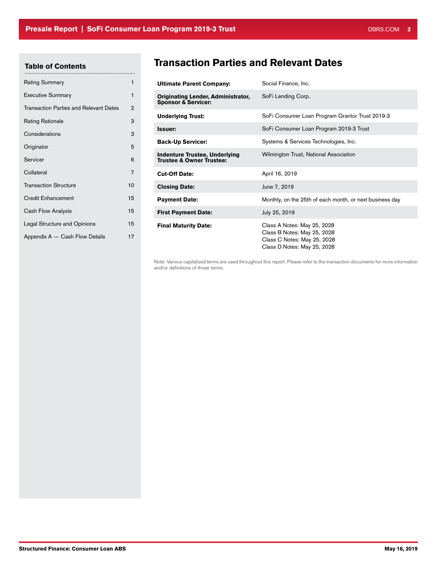# Table of Contents

| <b>Rating Summary</b>                         | 1              |
|-----------------------------------------------|----------------|
| <b>Executive Summary</b>                      | 1              |
| <b>Transaction Parties and Relevant Dates</b> | $\overline{2}$ |
| <b>Rating Rationale</b>                       | 3              |
| Considerations                                | 3              |
| Originator                                    | 5              |
| Servicer                                      | 6              |
| Collateral                                    | 7              |
| <b>Transaction Structure</b>                  | 10             |
| <b>Credit Enhancement</b>                     | 15             |
| Cash Flow Analysis                            | 15             |
| Legal Structure and Opinions                  | 15             |
| Appendix A - Cash Flow Details                | 17             |

# Transaction Parties and Relevant Dates

| <b>Ultimate Parent Company:</b>                                             | Social Finance, Inc.                                                                                                     |
|-----------------------------------------------------------------------------|--------------------------------------------------------------------------------------------------------------------------|
| <b>Originating Lender, Administrator,</b><br><b>Sponsor &amp; Servicer:</b> | SoFi Lending Corp.                                                                                                       |
| <b>Underlying Trust:</b>                                                    | SoFi Consumer Loan Program Grantor Trust 2019-3                                                                          |
| Issuer:                                                                     | SoFi Consumer Loan Program 2019-3 Trust                                                                                  |
| <b>Back-Up Servicer:</b>                                                    | Systems & Services Technologies, Inc.                                                                                    |
| <b>Indenture Trustee, Underlying</b><br><b>Trustee &amp; Owner Trustee:</b> | Wilmington Trust, National Association                                                                                   |
| <b>Cut-Off Date:</b>                                                        | April 16, 2019                                                                                                           |
| <b>Closing Date:</b>                                                        | June 7, 2019                                                                                                             |
| <b>Payment Date:</b>                                                        | Monthly, on the 25th of each month, or next business day                                                                 |
| <b>First Payment Date:</b>                                                  | July 25, 2019                                                                                                            |
| <b>Final Maturity Date:</b>                                                 | Class A Notes: May 25, 2028<br>Class B Notes: May 25, 2028<br>Class C Notes: May 25, 2028<br>Class D Notes: May 25, 2028 |

Note: Various capitalized terms are used throughout this report. Please refer to the transaction documents for more information and/or definitions of those terms.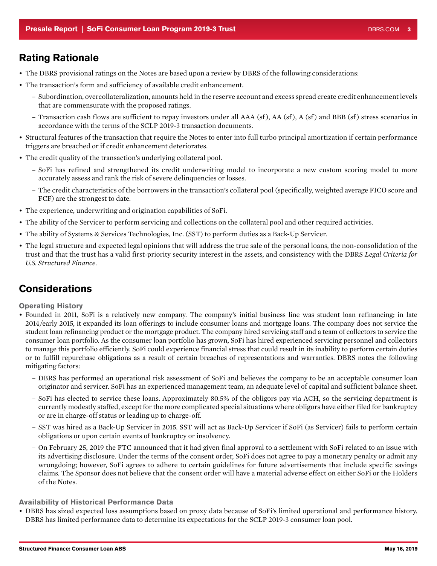# <span id="page-2-0"></span>Rating Rationale

- The DBRS provisional ratings on the Notes are based upon a review by DBRS of the following considerations:
- The transaction's form and sufficiency of available credit enhancement.
	- Subordination, overcollateralization, amounts held in the reserve account and excess spread create credit enhancement levels that are commensurate with the proposed ratings.
	- Transaction cash flows are sufficient to repay investors under all AAA (sf), AA (sf), A (sf) and BBB (sf) stress scenarios in accordance with the terms of the SCLP 2019-3 transaction documents.
- Structural features of the transaction that require the Notes to enter into full turbo principal amortization if certain performance triggers are breached or if credit enhancement deteriorates.
- The credit quality of the transaction's underlying collateral pool.
	- SoFi has refined and strengthened its credit underwriting model to incorporate a new custom scoring model to more accurately assess and rank the risk of severe delinquencies or losses.
	- The credit characteristics of the borrowers in the transaction's collateral pool (specifically, weighted average FICO score and FCF) are the strongest to date.
- The experience, underwriting and origination capabilities of SoFi.
- The ability of the Servicer to perform servicing and collections on the collateral pool and other required activities.
- The ability of Systems & Services Technologies, Inc. (SST) to perform duties as a Back-Up Servicer.
- The legal structure and expected legal opinions that will address the true sale of the personal loans, the non-consolidation of the trust and that the trust has a valid first-priority security interest in the assets, and consistency with the DBRS *Legal Criteria for U.S. Structured Finance*.

# **Considerations**

Operating History

- Founded in 2011, SoFi is a relatively new company. The company's initial business line was student loan refinancing; in late 2014/early 2015, it expanded its loan offerings to include consumer loans and mortgage loans. The company does not service the student loan refinancing product or the mortgage product. The company hired servicing staff and a team of collectors to service the consumer loan portfolio. As the consumer loan portfolio has grown, SoFi has hired experienced servicing personnel and collectors to manage this portfolio efficiently. SoFi could experience financial stress that could result in its inability to perform certain duties or to fulfill repurchase obligations as a result of certain breaches of representations and warranties. DBRS notes the following mitigating factors:
	- DBRS has performed an operational risk assessment of SoFi and believes the company to be an acceptable consumer loan originator and servicer. SoFi has an experienced management team, an adequate level of capital and sufficient balance sheet.
	- SoFi has elected to service these loans. Approximately 80.5% of the obligors pay via ACH, so the servicing department is currently modestly staffed, except for the more complicated special situations where obligors have either filed for bankruptcy or are in charge-off status or leading up to charge-off.
	- SST was hired as a Back-Up Servicer in 2015. SST will act as Back-Up Servicer if SoFi (as Servicer) fails to perform certain obligations or upon certain events of bankruptcy or insolvency.
	- On February 25, 2019 the FTC announced that it had given final approval to a settlement with SoFi related to an issue with its advertising disclosure. Under the terms of the consent order, SoFi does not agree to pay a monetary penalty or admit any wrongdoing; however, SoFi agrees to adhere to certain guidelines for future advertisements that include specific savings claims. The Sponsor does not believe that the consent order will have a material adverse effect on either SoFi or the Holders of the Notes.

### Availability of Historical Performance Data

• DBRS has sized expected loss assumptions based on proxy data because of SoFi's limited operational and performance history. DBRS has limited performance data to determine its expectations for the SCLP 2019-3 consumer loan pool.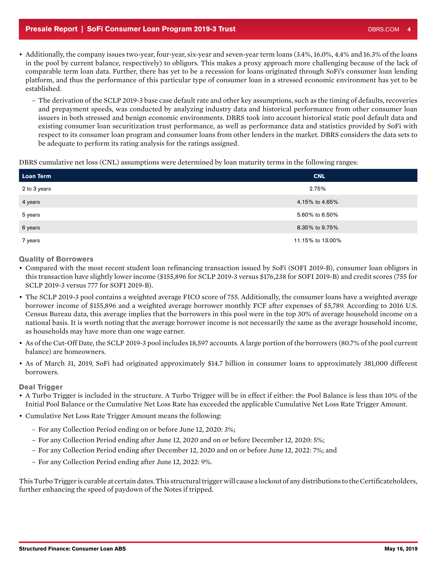### **Presale Report | SoFi Consumer Loan Program 2019-3 Trust DBRS.COM 40 CONSUMER AND A 40 CONSUMER AND DBRS.COM 4**

- Additionally, the company issues two-year, four-year, six-year and seven-year term loans (3.4%, 16.0%, 4.4% and 16.3% of the loans in the pool by current balance, respectively) to obligors. This makes a proxy approach more challenging because of the lack of comparable term loan data. Further, there has yet to be a recession for loans originated through SoFi's consumer loan lending platform, and thus the performance of this particular type of consumer loan in a stressed economic environment has yet to be established.
	- The derivation of the SCLP 2019-3 base case default rate and other key assumptions, such as the timing of defaults, recoveries and prepayment speeds, was conducted by analyzing industry data and historical performance from other consumer loan issuers in both stressed and benign economic environments. DBRS took into account historical static pool default data and existing consumer loan securitization trust performance, as well as performance data and statistics provided by SoFi with respect to its consumer loan program and consumer loans from other lenders in the market. DBRS considers the data sets to be adequate to perform its rating analysis for the ratings assigned.

DBRS cumulative net loss (CNL) assumptions were determined by loan maturity terms in the following ranges:

| <b>Loan Term</b> | <b>CNL</b>       |
|------------------|------------------|
| 2 to 3 years     | 2.75%            |
| 4 years          | 4.15% to 4.65%   |
| 5 years          | 5.60% to 6.50%   |
| 6 years          | 8.35% to 9.75%   |
| 7 years          | 11.15% to 13.00% |

Quality of Borrowers

- Compared with the most recent student loan refinancing transaction issued by SoFi (SOFI 2019-B), consumer loan obligors in this transaction have slightly lower income (\$155,896 for SCLP 2019-3 versus \$176,238 for SOFI 2019-B) and credit scores (755 for SCLP 2019-3 versus 777 for SOFI 2019-B).
- The SCLP 2019-3 pool contains a weighted average FICO score of 755. Additionally, the consumer loans have a weighted average borrower income of \$155,896 and a weighted average borrower monthly FCF after expenses of \$5,789. According to 2016 U.S. Census Bureau data, this average implies that the borrowers in this pool were in the top 30% of average household income on a national basis. It is worth noting that the average borrower income is not necessarily the same as the average household income, as households may have more than one wage earner.
- As of the Cut-Off Date, the SCLP 2019-3 pool includes 18,597 accounts. A large portion of the borrowers (80.7% of the pool current balance) are homeowners.
- As of March 31, 2019, SoFi had originated approximately \$14.7 billion in consumer loans to approximately 381,000 different borrowers.

### Deal Trigger

- A Turbo Trigger is included in the structure. A Turbo Trigger will be in effect if either: the Pool Balance is less than 10% of the Initial Pool Balance or the Cumulative Net Loss Rate has exceeded the applicable Cumulative Net Loss Rate Trigger Amount.
- Cumulative Net Loss Rate Trigger Amount means the following:
	- For any Collection Period ending on or before June 12, 2020: 3%;
	- For any Collection Period ending after June 12, 2020 and on or before December 12, 2020: 5%;
	- For any Collection Period ending after December 12, 2020 and on or before June 12, 2022: 7%; and
	- For any Collection Period ending after June 12, 2022: 9%.

This Turbo Trigger is curable at certain dates. This structural trigger will cause a lockout of any distributions to the Certificateholders, further enhancing the speed of paydown of the Notes if tripped.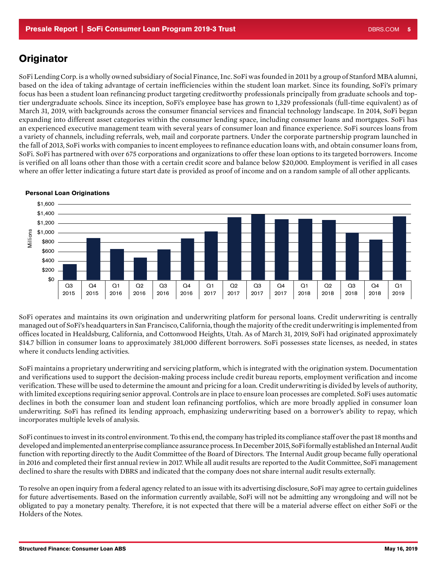# <span id="page-4-0"></span>**Originator**

SoFi Lending Corp. is a wholly owned subsidiary of Social Finance, Inc. SoFi was founded in 2011 by a group of Stanford MBA alumni, based on the idea of taking advantage of certain inefficiencies within the student loan market. Since its founding, SoFi's primary focus has been a student loan refinancing product targeting creditworthy professionals principally from graduate schools and toptier undergraduate schools. Since its inception, SoFi's employee base has grown to 1,329 professionals (full-time equivalent) as of March 31, 2019, with backgrounds across the consumer financial services and financial technology landscape. In 2014, SoFi began expanding into different asset categories within the consumer lending space, including consumer loans and mortgages. SoFi has an experienced executive management team with several years of consumer loan and finance experience. SoFi sources loans from a variety of channels, including referrals, web, mail and corporate partners. Under the corporate partnership program launched in the fall of 2013, SoFi works with companies to incent employees to refinance education loans with, and obtain consumer loans from, SoFi. SoFi has partnered with over 675 corporations and organizations to offer these loan options to its targeted borrowers. Income is verified on all loans other than those with a certain credit score and balance below \$20,000. Employment is verified in all cases where an offer letter indicating a future start date is provided as proof of income and on a random sample of all other applicants.



#### Personal Loan Originations

SoFi operates and maintains its own origination and underwriting platform for personal loans. Credit underwriting is centrally managed out of SoFi's headquarters in San Francisco, California, though the majority of the credit underwriting is implemented from offices located in Healdsburg, California, and Cottonwood Heights, Utah. As of March 31, 2019, SoFi had originated approximately \$14.7 billion in consumer loans to approximately 381,000 different borrowers. SoFi possesses state licenses, as needed, in states where it conducts lending activities.

SoFi maintains a proprietary underwriting and servicing platform, which is integrated with the origination system. Documentation and verifications used to support the decision-making process include credit bureau reports, employment verification and income verification. These will be used to determine the amount and pricing for a loan. Credit underwriting is divided by levels of authority, with limited exceptions requiring senior approval. Controls are in place to ensure loan processes are completed. SoFi uses automatic declines in both the consumer loan and student loan refinancing portfolios, which are more broadly applied in consumer loan underwriting. SoFi has refined its lending approach, emphasizing underwriting based on a borrower's ability to repay, which incorporates multiple levels of analysis.

SoFi continues to invest in its control environment. To this end, the company has tripled its compliance staff over the past 18 months and developed and implemented an enterprise compliance assurance process. In December 2015, SoFi formally established an Internal Audit function with reporting directly to the Audit Committee of the Board of Directors. The Internal Audit group became fully operational in 2016 and completed their first annual review in 2017. While all audit results are reported to the Audit Committee, SoFi management declined to share the results with DBRS and indicated that the company does not share internal audit results externally.

To resolve an open inquiry from a federal agency related to an issue with its advertising disclosure, SoFi may agree to certain guidelines for future advertisements. Based on the information currently available, SoFi will not be admitting any wrongdoing and will not be obligated to pay a monetary penalty. Therefore, it is not expected that there will be a material adverse effect on either SoFi or the Holders of the Notes.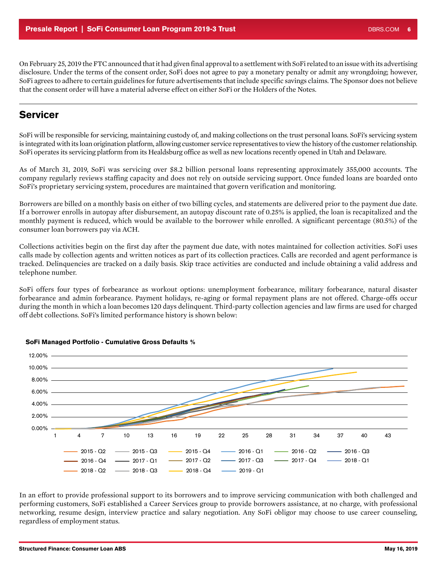<span id="page-5-0"></span>On February 25, 2019 the FTC announced that it had given final approval to a settlement with SoFi related to an issue with its advertising disclosure. Under the terms of the consent order, SoFi does not agree to pay a monetary penalty or admit any wrongdoing; however, SoFi agrees to adhere to certain guidelines for future advertisements that include specific savings claims. The Sponsor does not believe that the consent order will have a material adverse effect on either SoFi or the Holders of the Notes.

## **Servicer**

SoFi will be responsible for servicing, maintaining custody of, and making collections on the trust personal loans. SoFi's servicing system is integrated with its loan origination platform, allowing customer service representatives to view the history of the customer relationship. SoFi operates its servicing platform from its Healdsburg office as well as new locations recently opened in Utah and Delaware.

As of March 31, 2019, SoFi was servicing over \$8.2 billion personal loans representing approximately 355,000 accounts. The company regularly reviews staffing capacity and does not rely on outside servicing support. Once funded loans are boarded onto SoFi's proprietary servicing system, procedures are maintained that govern verification and monitoring.

Borrowers are billed on a monthly basis on either of two billing cycles, and statements are delivered prior to the payment due date. If a borrower enrolls in autopay after disbursement, an autopay discount rate of 0.25% is applied, the loan is recapitalized and the monthly payment is reduced, which would be available to the borrower while enrolled. A significant percentage (80.5%) of the consumer loan borrowers pay via ACH.

Collections activities begin on the first day after the payment due date, with notes maintained for collection activities. SoFi uses calls made by collection agents and written notices as part of its collection practices. Calls are recorded and agent performance is tracked. Delinquencies are tracked on a daily basis. Skip trace activities are conducted and include obtaining a valid address and telephone number.

SoFi offers four types of forbearance as workout options: unemployment forbearance, military forbearance, natural disaster forbearance and admin forbearance. Payment holidays, re-aging or formal repayment plans are not offered. Charge-offs occur during the month in which a loan becomes 120 days delinquent. Third-party collection agencies and law firms are used for charged off debt collections. SoFi's limited performance history is shown below:



#### SoFi Managed Portfolio - Cumulative Gross Defaults %

In an effort to provide professional support to its borrowers and to improve servicing communication with both challenged and performing customers, SoFi established a Career Services group to provide borrowers assistance, at no charge, with professional networking, resume design, interview practice and salary negotiation. Any SoFi obligor may choose to use career counseling, regardless of employment status.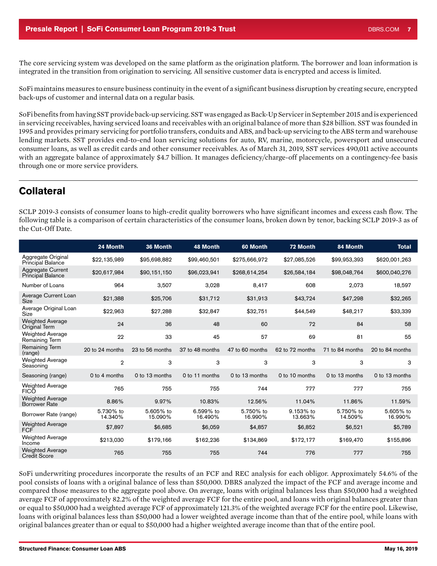<span id="page-6-0"></span>The core servicing system was developed on the same platform as the origination platform. The borrower and loan information is integrated in the transition from origination to servicing. All sensitive customer data is encrypted and access is limited.

SoFi maintains measures to ensure business continuity in the event of a significant business disruption by creating secure, encrypted back-ups of customer and internal data on a regular basis.

SoFi benefits from having SST provide back-up servicing. SST was engaged as Back-Up Servicer in September 2015 and is experienced in servicing receivables, having serviced loans and receivables with an original balance of more than \$28 billion. SST was founded in 1995 and provides primary servicing for portfolio transfers, conduits and ABS, and back-up servicing to the ABS term and warehouse lending markets. SST provides end-to-end loan servicing solutions for auto, RV, marine, motorcycle, powersport and unsecured consumer loans, as well as credit cards and other consumer receivables. As of March 31, 2019, SST services 490,011 active accounts with an aggregate balance of approximately \$4.7 billion. It manages deficiency/charge-off placements on a contingency-fee basis through one or more service providers.

# **Collateral**

SCLP 2019-3 consists of consumer loans to high-credit quality borrowers who have significant incomes and excess cash flow. The following table is a comparison of certain characteristics of the consumer loans, broken down by tenor, backing SCLP 2019-3 as of the Cut-Off Date.

|                                                      | 24 Month             | 36 Month             | <b>48 Month</b>      | 60 Month             | 72 Month             | 84 Month             | <b>Total</b>         |
|------------------------------------------------------|----------------------|----------------------|----------------------|----------------------|----------------------|----------------------|----------------------|
| Aggregate Original<br>Principal Balance              | \$22,135,989         | \$95,698,882         | \$99,460,501         | \$275,666,972        | \$27,085,526         | \$99,953,393         | \$620,001,263        |
| <b>Aggregate Current</b><br><b>Principal Balance</b> | \$20,617,984         | \$90,151,150         | \$96,023,941         | \$268,614,254        | \$26,584,184         | \$98,048,764         | \$600,040,276        |
| Number of Loans                                      | 964                  | 3,507                | 3,028                | 8,417                | 608                  | 2,073                | 18,597               |
| Average Current Loan<br>Size                         | \$21,388             | \$25,706             | \$31,712             | \$31,913             | \$43,724             | \$47,298             | \$32,265             |
| Average Original Loan<br>Size                        | \$22,963             | \$27,288             | \$32,847             | \$32,751             | \$44,549             | \$48,217             | \$33,339             |
| <b>Weighted Average</b><br>Original Term             | 24                   | 36                   | 48                   | 60                   | 72                   | 84                   | 58                   |
| <b>Weighted Average</b><br>Remaining Term            | 22                   | 33                   | 45                   | 57                   | 69                   | 81                   | 55                   |
| Remaining Term<br>(range)                            | 20 to 24 months      | 23 to 56 months      | 37 to 48 months      | 47 to 60 months      | 62 to 72 months      | 71 to 84 months      | 20 to 84 months      |
| <b>Weighted Average</b><br>Seasoning                 | $\overline{2}$       | 3                    | 3                    | 3                    | 3                    | 3                    | 3                    |
| Seasoning (range)                                    | 0 to 4 months        | 0 to 13 months       | 0 to 11 months       | 0 to 13 months       | 0 to 10 months       | 0 to 13 months       | 0 to 13 months       |
| <b>Weighted Average</b><br><b>FICO</b>               | 765                  | 755                  | 755                  | 744                  | 777                  | 777                  | 755                  |
| <b>Weighted Average</b><br><b>Borrower Rate</b>      | 8.86%                | 9.97%                | 10.83%               | 12.56%               | 11.04%               | 11.86%               | 11.59%               |
| Borrower Rate (range)                                | 5.730% to<br>14.340% | 5.605% to<br>15.090% | 6.599% to<br>16.490% | 5.750% to<br>16.990% | 9.153% to<br>13.663% | 5.750% to<br>14.509% | 5.605% to<br>16.990% |
| <b>Weighted Average</b><br>FCF                       | \$7,897              | \$6,685              | \$6,059              | \$4,857              | \$6,852              | \$6,521              | \$5,789              |
| <b>Weighted Average</b><br>Income                    | \$213,030            | \$179,166            | \$162,236            | \$134,869            | \$172,177            | \$169,470            | \$155,896            |
| <b>Weighted Average</b><br><b>Credit Score</b>       | 765                  | 755                  | 755                  | 744                  | 776                  | 777                  | 755                  |

SoFi underwriting procedures incorporate the results of an FCF and REC analysis for each obligor. Approximately 54.6% of the pool consists of loans with a original balance of less than \$50,000. DBRS analyzed the impact of the FCF and average income and compared those measures to the aggregate pool above. On average, loans with original balances less than \$50,000 had a weighted average FCF of approximately 82.2% of the weighted average FCF for the entire pool, and loans with original balances greater than or equal to \$50,000 had a weighted average FCF of approximately 121.3% of the weighted average FCF for the entire pool. Likewise, loans with original balances less than \$50,000 had a lower weighted average income than that of the entire pool, while loans with original balances greater than or equal to \$50,000 had a higher weighted average income than that of the entire pool.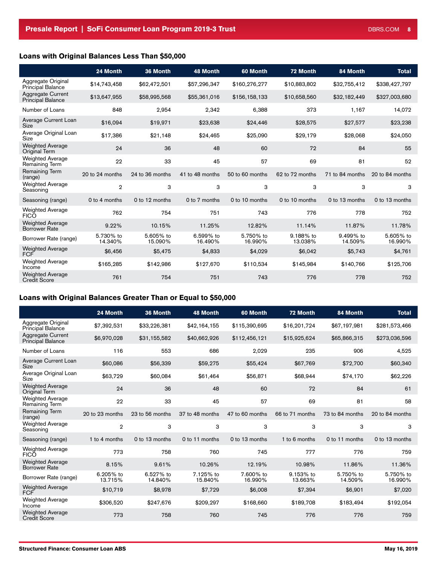### Loans with Original Balances Less Than \$50,000

|                                                 | 24 Month             | 36 Month             | <b>48 Month</b>      | 60 Month             | 72 Month             | 84 Month             | <b>Total</b>         |
|-------------------------------------------------|----------------------|----------------------|----------------------|----------------------|----------------------|----------------------|----------------------|
| Aggregate Original<br><b>Principal Balance</b>  | \$14,743,458         | \$62,472,501         | \$57,296,347         | \$160,276,277        | \$10,883,802         | \$32,755,412         | \$338,427,797        |
| Aggregate Current<br><b>Principal Balance</b>   | \$13,647,955         | \$58,995,568         | \$55,361,016         | \$156,158,133        | \$10,658,560         | \$32,182,449         | \$327,003,680        |
| Number of Loans                                 | 848                  | 2,954                | 2,342                | 6,388                | 373                  | 1,167                | 14,072               |
| Average Current Loan<br>Size                    | \$16,094             | \$19,971             | \$23,638             | \$24,446             | \$28,575             | \$27,577             | \$23,238             |
| Average Original Loan<br>Size                   | \$17,386             | \$21,148             | \$24,465             | \$25,090             | \$29,179             | \$28,068             | \$24,050             |
| <b>Weighted Average</b><br>Original Term        | 24                   | 36                   | 48                   | 60                   | 72                   | 84                   | 55                   |
| <b>Weighted Average</b><br>Remaining Term       | 22                   | 33                   | 45                   | 57                   | 69                   | 81                   | 52                   |
| <b>Remaining Term</b><br>(range)                | 20 to 24 months      | 24 to 36 months      | 41 to 48 months      | 50 to 60 months      | 62 to 72 months      | 71 to 84 months      | 20 to 84 months      |
| <b>Weighted Average</b><br>Seasoning            | $\overline{2}$       | 3                    | 3                    | 3                    | 3                    | 3                    | 3                    |
| Seasoning (range)                               | 0 to 4 months        | 0 to 12 months       | 0 to 7 months        | 0 to 10 months       | 0 to 10 months       | 0 to 13 months       | 0 to 13 months       |
| <b>Weighted Average</b><br><b>FICO</b>          | 762                  | 754                  | 751                  | 743                  | 776                  | 778                  | 752                  |
| <b>Weighted Average</b><br><b>Borrower Rate</b> | 9.22%                | 10.15%               | 11.25%               | 12.82%               | 11.14%               | 11.87%               | 11.78%               |
| Borrower Rate (range)                           | 5.730% to<br>14.340% | 5.605% to<br>15.090% | 6.599% to<br>16.490% | 5.750% to<br>16.990% | 9.188% to<br>13.038% | 9.499% to<br>14.509% | 5.605% to<br>16.990% |
| <b>Weighted Average</b><br><b>FCF</b>           | \$6,456              | \$5,475              | \$4,833              | \$4,029              | \$6,042              | \$5,743              | \$4,761              |
| <b>Weighted Average</b><br>Income               | \$165,285            | \$142,986            | \$127,670            | \$110,534            | \$145,984            | \$140,766            | \$125,706            |
| <b>Weighted Average</b><br><b>Credit Score</b>  | 761                  | 754                  | 751                  | 743                  | 776                  | 778                  | 752                  |

### Loans with Original Balances Greater Than or Equal to \$50,000

|                                                 | 24 Month             | 36 Month             | <b>48 Month</b>      | 60 Month             | 72 Month             | 84 Month             | <b>Total</b>         |
|-------------------------------------------------|----------------------|----------------------|----------------------|----------------------|----------------------|----------------------|----------------------|
| Aggregate Original<br><b>Principal Balance</b>  | \$7,392,531          | \$33,226,381         | \$42,164,155         | \$115,390,695        | \$16,201,724         | \$67,197,981         | \$281,573,466        |
| Aggregate Current<br><b>Principal Balance</b>   | \$6,970,028          | \$31,155,582         | \$40,662,926         | \$112,456,121        | \$15,925,624         | \$65,866,315         | \$273,036,596        |
| Number of Loans                                 | 116                  | 553                  | 686                  | 2,029                | 235                  | 906                  | 4,525                |
| Average Current Loan<br><b>Size</b>             | \$60,086             | \$56,339             | \$59,275             | \$55,424             | \$67,769             | \$72,700             | \$60,340             |
| Average Original Loan<br>Size                   | \$63,729             | \$60,084             | \$61,464             | \$56,871             | \$68,944             | \$74,170             | \$62,226             |
| <b>Weighted Average</b><br>Original Term        | 24                   | 36                   | 48                   | 60                   | 72                   | 84                   | 61                   |
| <b>Weighted Average</b><br>Remaining Term       | 22                   | 33                   | 45                   | 57                   | 69                   | 81                   | 58                   |
| Remaining Term<br>(range)                       | 20 to 23 months      | 23 to 56 months      | 37 to 48 months      | 47 to 60 months      | 66 to 71 months      | 73 to 84 months      | 20 to 84 months      |
| <b>Weighted Average</b><br>Seasoning            | $\overline{2}$       | 3                    | 3                    | 3                    | 3                    | 3                    | 3                    |
| Seasoning (range)                               | 1 to 4 months        | 0 to 13 months       | 0 to 11 months       | 0 to 13 months       | 1 to 6 months        | 0 to 11 months       | 0 to 13 months       |
| <b>Weighted Average</b><br><b>FICO</b>          | 773                  | 758                  | 760                  | 745                  | 777                  | 776                  | 759                  |
| <b>Weighted Average</b><br><b>Borrower Rate</b> | 8.15%                | 9.61%                | 10.26%               | 12.19%               | 10.98%               | 11.86%               | 11.36%               |
| Borrower Rate (range)                           | 6.205% to<br>13.715% | 6.527% to<br>14.840% | 7.125% to<br>15.840% | 7.600% to<br>16.990% | 9.153% to<br>13.663% | 5.750% to<br>14.509% | 5.750% to<br>16.990% |
| <b>Weighted Average</b><br><b>FCF</b>           | \$10,719             | \$8,978              | \$7,729              | \$6,008              | \$7,394              | \$6,901              | \$7,020              |
| <b>Weighted Average</b><br>Income               | \$306,520            | \$247,676            | \$209,297            | \$168,660            | \$189,708            | \$183,494            | \$192,054            |
| <b>Weighted Average</b><br><b>Credit Score</b>  | 773                  | 758                  | 760                  | 745                  | 776                  | 776                  | 759                  |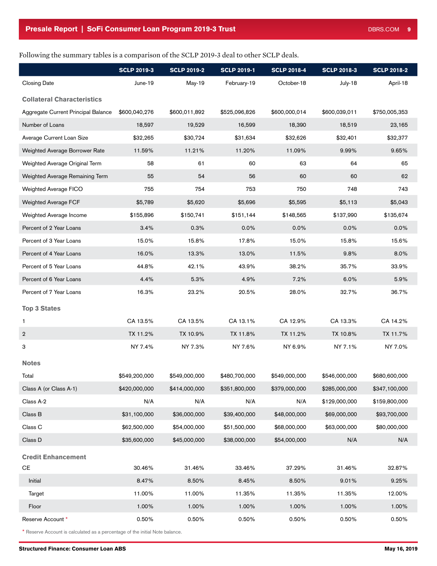### Following the summary tables is a comparison of the SCLP 2019-3 deal to other SCLP deals.

|                                                                              | <b>SCLP 2019-3</b> | <b>SCLP 2019-2</b> | <b>SCLP 2019-1</b> | <b>SCLP 2018-4</b> | <b>SCLP 2018-3</b> | <b>SCLP 2018-2</b> |  |  |
|------------------------------------------------------------------------------|--------------------|--------------------|--------------------|--------------------|--------------------|--------------------|--|--|
| <b>Closing Date</b>                                                          | June-19            | May-19             | February-19        | October-18         | July-18            | April-18           |  |  |
| <b>Collateral Characteristics</b>                                            |                    |                    |                    |                    |                    |                    |  |  |
| Aggregate Current Principal Balance                                          | \$600,040,276      | \$600,011,892      | \$525,096,826      | \$600,000,014      | \$600,039,011      | \$750,005,353      |  |  |
| Number of Loans                                                              | 18,597             | 19,529             | 16,599             | 18,390             | 18,519             | 23,165             |  |  |
| Average Current Loan Size                                                    | \$32,265           | \$30,724           | \$31,634           | \$32,626           | \$32,401           | \$32,377           |  |  |
| Weighted Average Borrower Rate                                               | 11.59%             | 11.21%             | 11.20%             | 11.09%             | 9.99%              | 9.65%              |  |  |
| Weighted Average Original Term                                               | 58                 | 61                 | 60                 | 63                 | 64                 | 65                 |  |  |
| Weighted Average Remaining Term                                              | 55                 | 54                 | 56                 | 60                 | 60                 | 62                 |  |  |
| Weighted Average FICO                                                        | 755                | 754                | 753                | 750                | 748                | 743                |  |  |
| Weighted Average FCF                                                         | \$5,789            | \$5,620            | \$5,696            | \$5,595            | \$5,113            | \$5,043            |  |  |
| Weighted Average Income                                                      | \$155,896          | \$150,741          | \$151,144          | \$148,565          | \$137,990          | \$135,674          |  |  |
| Percent of 2 Year Loans                                                      | 3.4%               | 0.3%               | 0.0%               | 0.0%               | 0.0%               | 0.0%               |  |  |
| Percent of 3 Year Loans                                                      | 15.0%              | 15.8%              | 17.8%              | 15.0%              | 15.8%              | 15.6%              |  |  |
| Percent of 4 Year Loans                                                      | 16.0%              | 13.3%              | 13.0%              | 11.5%              | 9.8%               | 8.0%               |  |  |
| Percent of 5 Year Loans                                                      | 44.8%              | 42.1%              | 43.9%              | 38.2%              | 35.7%              | 33.9%              |  |  |
| Percent of 6 Year Loans                                                      | 4.4%               | 5.3%               | 4.9%               | 7.2%               | 6.0%               | 5.9%               |  |  |
| Percent of 7 Year Loans                                                      | 16.3%              | 23.2%              | 20.5%              | 28.0%              | 32.7%              | 36.7%              |  |  |
| <b>Top 3 States</b>                                                          |                    |                    |                    |                    |                    |                    |  |  |
| 1                                                                            | CA 13.5%           | CA 13.5%           | CA 13.1%           | CA 12.9%           | CA 13.3%           | CA 14.2%           |  |  |
| $\overline{2}$                                                               | TX 11.2%           | TX 10.9%           | TX 11.8%           | TX 11.2%           | TX 10.8%           | TX 11.7%           |  |  |
| 3                                                                            | NY 7.4%            | NY 7.3%            | NY 7.6%            | NY 6.9%            | NY 7.1%            | NY 7.0%            |  |  |
|                                                                              |                    |                    |                    |                    |                    |                    |  |  |
| <b>Notes</b>                                                                 |                    |                    |                    |                    |                    |                    |  |  |
| Total                                                                        | \$549,200,000      | \$549,000,000      | \$480,700,000      | \$549,000,000      | \$546,000,000      | \$680,600,000      |  |  |
| Class A (or Class A-1)                                                       | \$420,000,000      | \$414,000,000      | \$351,800,000      | \$379,000,000      | \$285,000,000      | \$347,100,000      |  |  |
| Class A-2                                                                    | N/A                | N/A                | N/A                | N/A                | \$129,000,000      | \$159,800,000      |  |  |
| Class B                                                                      | \$31,100,000       | \$36,000,000       | \$39,400,000       | \$48,000,000       | \$69,000,000       | \$93,700,000       |  |  |
| Class C                                                                      | \$62,500,000       | \$54,000,000       | \$51,500,000       | \$68,000,000       | \$63,000,000       | \$80,000,000       |  |  |
| Class D                                                                      | \$35,600,000       | \$45,000,000       | \$38,000,000       | \$54,000,000       | N/A                | N/A                |  |  |
| <b>Credit Enhancement</b>                                                    |                    |                    |                    |                    |                    |                    |  |  |
| CE                                                                           | 30.46%             | 31.46%             | 33.46%             | 37.29%             | 31.46%             | 32.87%             |  |  |
| Initial                                                                      | 8.47%              | 8.50%              | 8.45%              | 8.50%              | 9.01%              | 9.25%              |  |  |
| Target                                                                       | 11.00%             | 11.00%             | 11.35%             | 11.35%             | 11.35%             | 12.00%             |  |  |
| Floor                                                                        | 1.00%              | 1.00%              | 1.00%              | 1.00%              | 1.00%              | 1.00%              |  |  |
| Reserve Account *                                                            | 0.50%              | 0.50%              | 0.50%              | 0.50%              | 0.50%              | 0.50%              |  |  |
| * Reserve Account is calculated as a percentage of the initial Note balance. |                    |                    |                    |                    |                    |                    |  |  |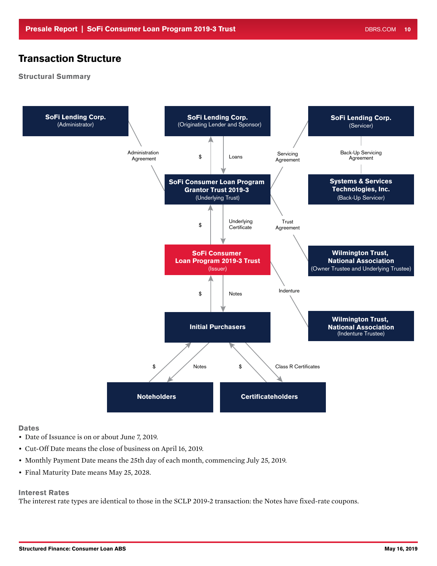# <span id="page-9-0"></span>Transaction Structure

### Structural Summary



#### **Dates**

- Date of Issuance is on or about June 7, 2019.
- Cut-Off Date means the close of business on April 16, 2019.
- Monthly Payment Date means the 25th day of each month, commencing July 25, 2019.
- Final Maturity Date means May 25, 2028.

### Interest Rates

The interest rate types are identical to those in the SCLP 2019-2 transaction: the Notes have fixed-rate coupons.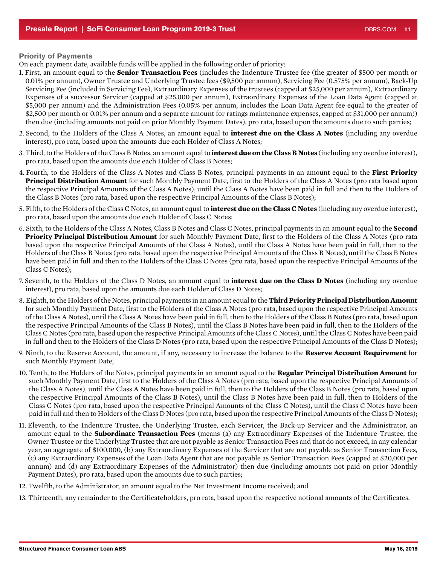#### Priority of Payments

On each payment date, available funds will be applied in the following order of priority:

- 1. First, an amount equal to the **Senior Transaction Fees** (includes the Indenture Trustee fee (the greater of \$500 per month or 0.01% per annum), Owner Trustee and Underlying Trustee fees (\$9,500 per annum), Servicing Fee (0.575% per annum), Back-Up Servicing Fee (included in Servicing Fee), Extraordinary Expenses of the trustees (capped at \$25,000 per annum), Extraordinary Expenses of a successor Servicer (capped at \$25,000 per annum), Extraordinary Expenses of the Loan Data Agent (capped at \$5,000 per annum) and the Administration Fees (0.05% per annum; includes the Loan Data Agent fee equal to the greater of \$2,500 per month or 0.01% per annum and a separate amount for ratings maintenance expenses, capped at \$31,000 per annum)) then due (including amounts not paid on prior Monthly Payment Dates), pro rata, based upon the amounts due to such parties;
- 2. Second, to the Holders of the Class A Notes, an amount equal to **interest due on the Class A Notes** (including any overdue interest), pro rata, based upon the amounts due each Holder of Class A Notes;
- 3. Third, to the Holders of the Class B Notes, an amount equal to **interest due on the Class B Notes** (including any overdue interest), pro rata, based upon the amounts due each Holder of Class B Notes;
- 4. Fourth, to the Holders of the Class A Notes and Class B Notes, principal payments in an amount equal to the **First Priority Principal Distribution Amount** for such Monthly Payment Date, first to the Holders of the Class A Notes (pro rata based upon the respective Principal Amounts of the Class A Notes), until the Class A Notes have been paid in full and then to the Holders of the Class B Notes (pro rata, based upon the respective Principal Amounts of the Class B Notes);
- 5. Fifth, to the Holders of the Class C Notes, an amount equal to **interest due on the Class C Notes** (including any overdue interest), pro rata, based upon the amounts due each Holder of Class C Notes;
- 6. Sixth, to the Holders of the Class A Notes, Class B Notes and Class C Notes, principal payments in an amount equal to the **Second Priority Principal Distribution Amount** for such Monthly Payment Date, first to the Holders of the Class A Notes (pro rata based upon the respective Principal Amounts of the Class A Notes), until the Class A Notes have been paid in full, then to the Holders of the Class B Notes (pro rata, based upon the respective Principal Amounts of the Class B Notes), until the Class B Notes have been paid in full and then to the Holders of the Class C Notes (pro rata, based upon the respective Principal Amounts of the Class C Notes);
- 7. Seventh, to the Holders of the Class D Notes, an amount equal to **interest due on the Class D Notes** (including any overdue interest), pro rata, based upon the amounts due each Holder of Class D Notes;
- 8. Eighth, to the Holders of the Notes, principal payments in an amount equal to the **Third Priority Principal Distribution Amount**  for such Monthly Payment Date, first to the Holders of the Class A Notes (pro rata, based upon the respective Principal Amounts of the Class A Notes), until the Class A Notes have been paid in full, then to the Holders of the Class B Notes (pro rata, based upon the respective Principal Amounts of the Class B Notes), until the Class B Notes have been paid in full, then to the Holders of the Class C Notes (pro rata, based upon the respective Principal Amounts of the Class C Notes), until the Class C Notes have been paid in full and then to the Holders of the Class D Notes (pro rata, based upon the respective Principal Amounts of the Class D Notes);
- 9. Ninth, to the Reserve Account, the amount, if any, necessary to increase the balance to the **Reserve Account Requirement** for such Monthly Payment Date;
- 10. Tenth, to the Holders of the Notes, principal payments in an amount equal to the **Regular Principal Distribution Amount** for such Monthly Payment Date, first to the Holders of the Class A Notes (pro rata, based upon the respective Principal Amounts of the Class A Notes), until the Class A Notes have been paid in full, then to the Holders of the Class B Notes (pro rata, based upon the respective Principal Amounts of the Class B Notes), until the Class B Notes have been paid in full, then to Holders of the Class C Notes (pro rata, based upon the respective Principal Amounts of the Class C Notes), until the Class C Notes have been paid in full and then to Holders of the Class D Notes (pro rata, based upon the respective Principal Amounts of the Class D Notes);
- 11. Eleventh, to the Indenture Trustee, the Underlying Trustee, each Servicer, the Back-up Servicer and the Administrator, an amount equal to the **Subordinate Transaction Fees** (means (a) any Extraordinary Expenses of the Indenture Trustee, the Owner Trustee or the Underlying Trustee that are not payable as Senior Transaction Fees and that do not exceed, in any calendar year, an aggregate of \$100,000, (b) any Extraordinary Expenses of the Servicer that are not payable as Senior Transaction Fees, (c) any Extraordinary Expenses of the Loan Data Agent that are not payable as Senior Transaction Fees (capped at \$20,000 per annum) and (d) any Extraordinary Expenses of the Administrator) then due (including amounts not paid on prior Monthly Payment Dates), pro rata, based upon the amounts due to such parties;
- 12. Twelfth, to the Administrator, an amount equal to the Net Investment Income received; and
- 13. Thirteenth, any remainder to the Certificateholders, pro rata, based upon the respective notional amounts of the Certificates.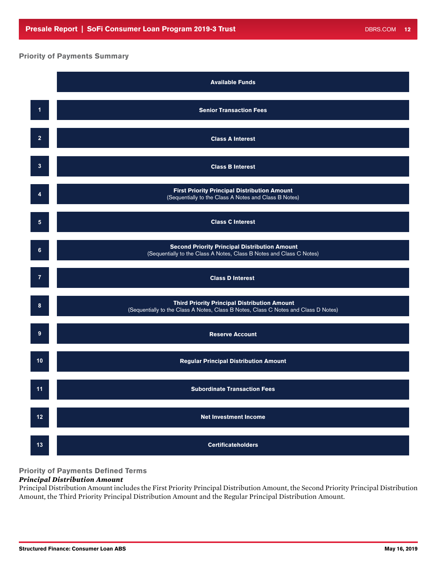### Priority of Payments Summary



Principal Distribution Amount includes the First Priority Principal Distribution Amount, the Second Priority Principal Distribution Amount, the Third Priority Principal Distribution Amount and the Regular Principal Distribution Amount.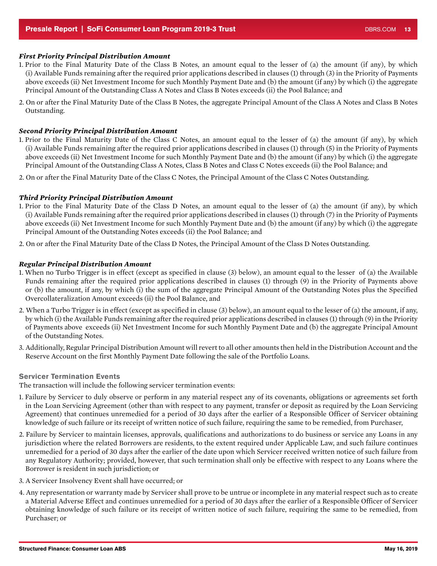#### <span id="page-12-0"></span>*First Priority Principal Distribution Amount*

- 1. Prior to the Final Maturity Date of the Class B Notes, an amount equal to the lesser of (a) the amount (if any), by which (i) Available Funds remaining after the required prior applications described in clauses (1) through (3) in the Priority of Payments above exceeds (ii) Net Investment Income for such Monthly Payment Date and (b) the amount (if any) by which (i) the aggregate Principal Amount of the Outstanding Class A Notes and Class B Notes exceeds (ii) the Pool Balance; and
- 2. On or after the Final Maturity Date of the Class B Notes, the aggregate Principal Amount of the Class A Notes and Class B Notes Outstanding.

#### *Second Priority Principal Distribution Amount*

- 1. Prior to the Final Maturity Date of the Class C Notes, an amount equal to the lesser of (a) the amount (if any), by which (i) Available Funds remaining after the required prior applications described in clauses (1) through (5) in the Priority of Payments above exceeds (ii) Net Investment Income for such Monthly Payment Date and (b) the amount (if any) by which (i) the aggregate Principal Amount of the Outstanding Class A Notes, Class B Notes and Class C Notes exceeds (ii) the Pool Balance; and
- 2. On or after the Final Maturity Date of the Class C Notes, the Principal Amount of the Class C Notes Outstanding.

#### *Third Priority Principal Distribution Amount*

- 1. Prior to the Final Maturity Date of the Class D Notes, an amount equal to the lesser of (a) the amount (if any), by which (i) Available Funds remaining after the required prior applications described in clauses (1) through (7) in the Priority of Payments above exceeds (ii) Net Investment Income for such Monthly Payment Date and (b) the amount (if any) by which (i) the aggregate Principal Amount of the Outstanding Notes exceeds (ii) the Pool Balance; and
- 2. On or after the Final Maturity Date of the Class D Notes, the Principal Amount of the Class D Notes Outstanding.

#### *Regular Principal Distribution Amount*

- 1. When no Turbo Trigger is in effect (except as specified in clause (3) below), an amount equal to the lesser of (a) the Available Funds remaining after the required prior applications described in clauses (1) through (9) in the Priority of Payments above or (b) the amount, if any, by which (i) the sum of the aggregate Principal Amount of the Outstanding Notes plus the Specified Overcollateralization Amount exceeds (ii) the Pool Balance, and
- 2. When a Turbo Trigger is in effect (except as specified in clause (3) below), an amount equal to the lesser of (a) the amount, if any, by which (i) the Available Funds remaining after the required prior applications described in clauses (1) through (9) in the Priority of Payments above exceeds (ii) Net Investment Income for such Monthly Payment Date and (b) the aggregate Principal Amount of the Outstanding Notes.
- 3. Additionally, Regular Principal Distribution Amount will revert to all other amounts then held in the Distribution Account and the Reserve Account on the first Monthly Payment Date following the sale of the Portfolio Loans.

#### Servicer Termination Events

The transaction will include the following servicer termination events:

- 1. Failure by Servicer to duly observe or perform in any material respect any of its covenants, obligations or agreements set forth in the Loan Servicing Agreement (other than with respect to any payment, transfer or deposit as required by the Loan Servicing Agreement) that continues unremedied for a period of 30 days after the earlier of a Responsible Officer of Servicer obtaining knowledge of such failure or its receipt of written notice of such failure, requiring the same to be remedied, from Purchaser,
- 2. Failure by Servicer to maintain licenses, approvals, qualifications and authorizations to do business or service any Loans in any jurisdiction where the related Borrowers are residents, to the extent required under Applicable Law, and such failure continues unremedied for a period of 30 days after the earlier of the date upon which Servicer received written notice of such failure from any Regulatory Authority; provided, however, that such termination shall only be effective with respect to any Loans where the Borrower is resident in such jurisdiction; or
- 3. A Servicer Insolvency Event shall have occurred; or
- 4. Any representation or warranty made by Servicer shall prove to be untrue or incomplete in any material respect such as to create a Material Adverse Effect and continues unremedied for a period of 30 days after the earlier of a Responsible Officer of Servicer obtaining knowledge of such failure or its receipt of written notice of such failure, requiring the same to be remedied, from Purchaser; or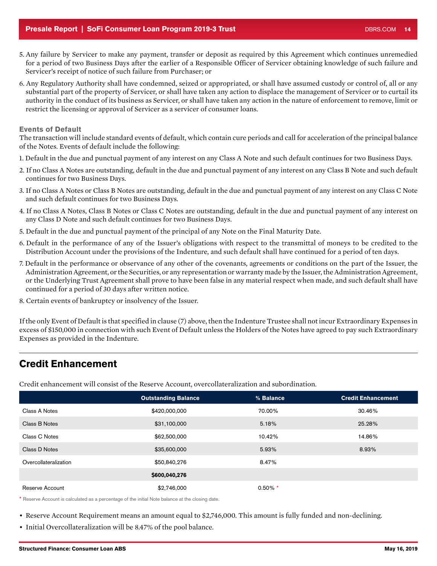- <span id="page-13-0"></span>5. Any failure by Servicer to make any payment, transfer or deposit as required by this Agreement which continues unremedied for a period of two Business Days after the earlier of a Responsible Officer of Servicer obtaining knowledge of such failure and Servicer's receipt of notice of such failure from Purchaser; or
- 6. Any Regulatory Authority shall have condemned, seized or appropriated, or shall have assumed custody or control of, all or any substantial part of the property of Servicer, or shall have taken any action to displace the management of Servicer or to curtail its authority in the conduct of its business as Servicer, or shall have taken any action in the nature of enforcement to remove, limit or restrict the licensing or approval of Servicer as a servicer of consumer loans.

### Events of Default

The transaction will include standard events of default, which contain cure periods and call for acceleration of the principal balance of the Notes. Events of default include the following:

- 1. Default in the due and punctual payment of any interest on any Class A Note and such default continues for two Business Days.
- 2. If no Class A Notes are outstanding, default in the due and punctual payment of any interest on any Class B Note and such default continues for two Business Days.
- 3. If no Class A Notes or Class B Notes are outstanding, default in the due and punctual payment of any interest on any Class C Note and such default continues for two Business Days.
- 4. If no Class A Notes, Class B Notes or Class C Notes are outstanding, default in the due and punctual payment of any interest on any Class D Note and such default continues for two Business Days.
- 5. Default in the due and punctual payment of the principal of any Note on the Final Maturity Date.
- 6. Default in the performance of any of the Issuer's obligations with respect to the transmittal of moneys to be credited to the Distribution Account under the provisions of the Indenture, and such default shall have continued for a period of ten days.
- 7. Default in the performance or observance of any other of the covenants, agreements or conditions on the part of the Issuer, the Administration Agreement, or the Securities, or any representation or warranty made by the Issuer, the Administration Agreement, or the Underlying Trust Agreement shall prove to have been false in any material respect when made, and such default shall have continued for a period of 30 days after written notice.
- 8. Certain events of bankruptcy or insolvency of the Issuer.

If the only Event of Default is that specified in clause (7) above, then the Indenture Trustee shall not incur Extraordinary Expenses in excess of \$150,000 in connection with such Event of Default unless the Holders of the Notes have agreed to pay such Extraordinary Expenses as provided in the Indenture.

# Credit Enhancement

Credit enhancement will consist of the Reserve Account, overcollateralization and subordination.

|                       | <b>Outstanding Balance</b> | % Balance  | <b>Credit Enhancement</b> |
|-----------------------|----------------------------|------------|---------------------------|
| Class A Notes         | \$420,000,000              | 70.00%     | 30.46%                    |
| Class B Notes         | \$31,100,000               | 5.18%      | 25.28%                    |
| Class C Notes         | \$62,500,000               | 10.42%     | 14.86%                    |
| Class D Notes         | \$35,600,000               | 5.93%      | 8.93%                     |
| Overcollateralization | \$50,840,276               | 8.47%      |                           |
|                       | \$600,040,276              |            |                           |
| Reserve Account       | \$2,746,000                | $0.50\%$ * |                           |

\* Reserve Account is calculated as a percentage of the initial Note balance at the closing date.

• Reserve Account Requirement means an amount equal to \$2,746,000. This amount is fully funded and non-declining.

• Initial Overcollateralization will be 8.47% of the pool balance.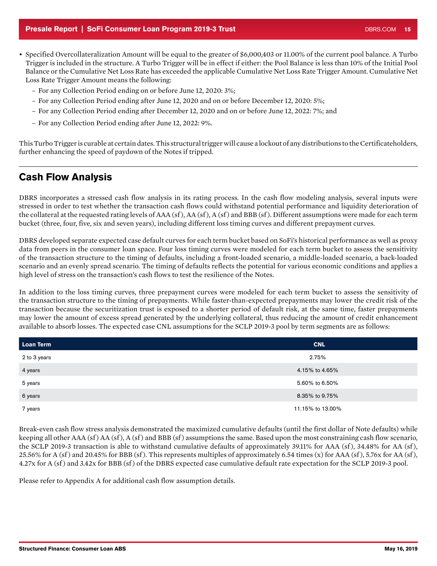- Specified Overcollateralization Amount will be equal to the greater of \$6,000,403 or 11.00% of the current pool balance. A Turbo Trigger is included in the structure. A Turbo Trigger will be in effect if either: the Pool Balance is less than 10% of the Initial Pool Balance or the Cumulative Net Loss Rate has exceeded the applicable Cumulative Net Loss Rate Trigger Amount. Cumulative Net Loss Rate Trigger Amount means the following:
	- For any Collection Period ending on or before June 12, 2020: 3%;
	- For any Collection Period ending after June 12, 2020 and on or before December 12, 2020: 5%;
	- For any Collection Period ending after December 12, 2020 and on or before June 12, 2022: 7%; and
	- For any Collection Period ending after June 12, 2022: 9%.

This Turbo Trigger is curable at certain dates. This structural trigger will cause a lockout of any distributions to the Certificateholders, further enhancing the speed of paydown of the Notes if tripped.

# Cash Flow Analysis

DBRS incorporates a stressed cash flow analysis in its rating process. In the cash flow modeling analysis, several inputs were stressed in order to test whether the transaction cash flows could withstand potential performance and liquidity deterioration of the collateral at the requested rating levels of AAA (sf ), AA (sf ), A (sf ) and BBB (sf ). Different assumptions were made for each term bucket (three, four, five, six and seven years), including different loss timing curves and different prepayment curves.

DBRS developed separate expected case default curves for each term bucket based on SoFi's historical performance as well as proxy data from peers in the consumer loan space. Four loss timing curves were modeled for each term bucket to assess the sensitivity of the transaction structure to the timing of defaults, including a front-loaded scenario, a middle-loaded scenario, a back-loaded scenario and an evenly spread scenario. The timing of defaults reflects the potential for various economic conditions and applies a high level of stress on the transaction's cash flows to test the resilience of the Notes.

In addition to the loss timing curves, three prepayment curves were modeled for each term bucket to assess the sensitivity of the transaction structure to the timing of prepayments. While faster-than-expected prepayments may lower the credit risk of the transaction because the securitization trust is exposed to a shorter period of default risk, at the same time, faster prepayments may lower the amount of excess spread generated by the underlying collateral, thus reducing the amount of credit enhancement available to absorb losses. The expected case CNL assumptions for the SCLP 2019-3 pool by term segments are as follows:

| Loan Term    | <b>CNL</b>       |
|--------------|------------------|
| 2 to 3 years | 2.75%            |
| 4 years      | 4.15% to 4.65%   |
| 5 years      | 5.60% to 6.50%   |
| 6 years      | 8.35% to 9.75%   |
| 7 years      | 11.15% to 13.00% |

Break-even cash flow stress analysis demonstrated the maximized cumulative defaults (until the first dollar of Note defaults) while keeping all other AAA (sf) AA (sf), A (sf) and BBB (sf) assumptions the same. Based upon the most constraining cash flow scenario, the SCLP 2019-3 transaction is able to withstand cumulative defaults of approximately 39.11% for AAA (sf), 34.48% for AA (sf), 25.56% for A (sf) and 20.45% for BBB (sf). This represents multiples of approximately 6.54 times (x) for AAA (sf), 5.76x for AA (sf), 4.27x for A (sf ) and 3.42x for BBB (sf ) of the DBRS expected case cumulative default rate expectation for the SCLP 2019-3 pool.

Please refer to Appendix A for additional cash flow assumption details.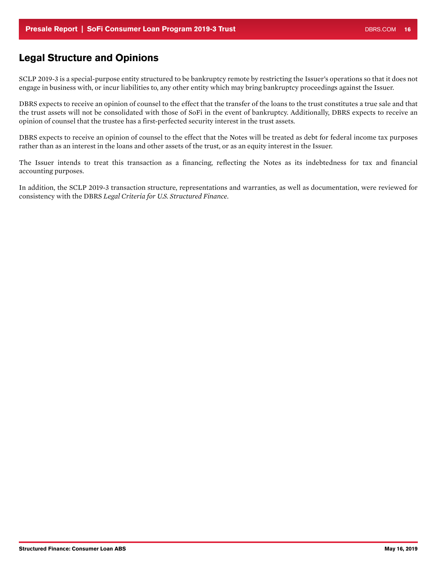# Legal Structure and Opinions

SCLP 2019-3 is a special-purpose entity structured to be bankruptcy remote by restricting the Issuer's operations so that it does not engage in business with, or incur liabilities to, any other entity which may bring bankruptcy proceedings against the Issuer.

DBRS expects to receive an opinion of counsel to the effect that the transfer of the loans to the trust constitutes a true sale and that the trust assets will not be consolidated with those of SoFi in the event of bankruptcy. Additionally, DBRS expects to receive an opinion of counsel that the trustee has a first-perfected security interest in the trust assets.

DBRS expects to receive an opinion of counsel to the effect that the Notes will be treated as debt for federal income tax purposes rather than as an interest in the loans and other assets of the trust, or as an equity interest in the Issuer.

The Issuer intends to treat this transaction as a financing, reflecting the Notes as its indebtedness for tax and financial accounting purposes.

In addition, the SCLP 2019-3 transaction structure, representations and warranties, as well as documentation, were reviewed for consistency with the DBRS *Legal Criteria for U.S. Structured Finance*.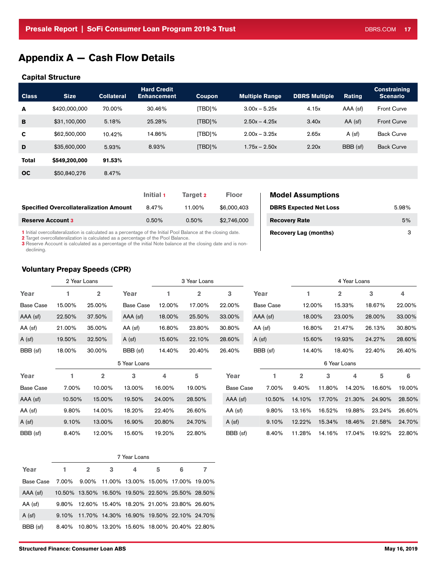# <span id="page-16-0"></span>Appendix A — Cash Flow Details

#### Capital Structure

| <b>Class</b> | <b>Size</b>   | <b>Collateral</b> | <b>Hard Credit</b><br><b>Enhancement</b> | <b>Coupon</b> | <b>Multiple Range</b> | <b>DBRS Multiple</b> | <b>Rating</b> | <b>Constraining</b><br><b>Scenario</b> |
|--------------|---------------|-------------------|------------------------------------------|---------------|-----------------------|----------------------|---------------|----------------------------------------|
| $\mathbf{A}$ | \$420,000,000 | 70.00%            | 30.46%                                   | [TBD]%        | $3.00x - 5.25x$       | 4.15x                | AAA (sf)      | <b>Front Curve</b>                     |
| в            | \$31,100,000  | 5.18%             | 25.28%                                   | [TBD]%        | $2.50x - 4.25x$       | 3.40x                | $AA$ (sf)     | <b>Front Curve</b>                     |
| C            | \$62,500,000  | 10.42%            | 14.86%                                   | [TBD]%        | $2.00x - 3.25x$       | 2.65x                | $A$ (sf)      | <b>Back Curve</b>                      |
| D            | \$35,600,000  | 5.93%             | 8.93%                                    | $[TBD]\%$     | $1.75x - 2.50x$       | 2.20x                | BBB (sf)      | <b>Back Curve</b>                      |
| <b>Total</b> | \$549,200,000 | 91.53%            |                                          |               |                       |                      |               |                                        |
| $_{\rm oc}$  | \$50,840,276  | 8.47%             |                                          |               |                       |                      |               |                                        |
|              |               |                   |                                          |               |                       |                      |               |                                        |

A (sf) 19.50% 32.50% A (sf) 15.60% 22.10% 28.60% A (sf) 15.60% 19.93% 24.27% 28.60%

|                                               | Initial 1 | Target 2 | <b>Floor</b> |
|-----------------------------------------------|-----------|----------|--------------|
| <b>Specified Overcollateralization Amount</b> | 8.47%     | 11.00%   | \$6,000,403  |
| <b>Reserve Account 3</b>                      | $0.50\%$  | $0.50\%$ | \$2,746,000  |

1 Initial overcollateralization is calculated as a percentage of the Initial Pool Balance at the closing date.

2 Target overcollateralization is calculated as a percentage of the Pool Balance.

3 Reserve Account is calculated as a percentage of the initial Note balance at the closing date and is nondeclining.

### Voluntary Prepay Speeds (CPR)

|           |        | <b>Voluntary Prepay Speeds (CPR)</b> |           |        |              |        |                  |        |              |        |        |
|-----------|--------|--------------------------------------|-----------|--------|--------------|--------|------------------|--------|--------------|--------|--------|
|           |        | 2 Year Loans                         |           |        | 3 Year Loans |        |                  |        | 4 Year Loans |        |        |
| Year      |        | 2                                    | Year      |        |              | 3      | Year             |        |              | з      | 4      |
| Base Case | 15.00% | 25.00%                               | Base Case | 12.00% | 17.00%       | 22.00% | <b>Base Case</b> | 12.00% | 15.33%       | 18.67% | 22.00% |
| (AAA (sf  | 22.50% | 37.50%                               | AAA (sf)  | 18.00% | 25.50%       | 33,00% | AAA (sf)         | 18.00% | 23.00%       | 28.00% | 33.00% |
| AA (sf)   | 21.00% | 35.00%                               | AA (sf)   | 16.80% | 23.80%       | 30.80% | AA (sf)          | 16.80% | 21.47%       | 26.13% | 30.80% |

**DBRS Expected Net Loss 5.98% \$6.98% 11.000 PBRS Expected Net Loss 5.98% 5.98% 5.98% 5.98% 5.983 PM** Recovery Rate 3 0.500 Recovery Rate 5%

Recovery Lag (months) 3

**Model Assumptions** 

| BBB (sf)         | 18.00% | 30.00% | BBB (sf)     | 14.40% | 20.40% | 26.40%    | BBB (sf) | 14.40%      |              | 18.40% | 22.40% | 26.40% |
|------------------|--------|--------|--------------|--------|--------|-----------|----------|-------------|--------------|--------|--------|--------|
|                  |        |        | 5 Year Loans |        |        |           |          |             | 6 Year Loans |        |        |        |
| Year             |        | 2      | 3            | 4      | 5      | Year      |          | $\mathbf 2$ | 3            | 4      | 5      | 6      |
| <b>Base Case</b> | 7.00%  | 10.00% | 13.00%       | 16.00% | 19.00% | Base Case | 7.00%    | 9.40%       | 11.80%       | 14.20% | 16.60% | 19.00% |
| AAA (sf)         | 10.50% | 15.00% | 19.50%       | 24.00% | 28.50% | AAA (sf)  | 10.50%   | 14.10%      | 17.70%       | 21.30% | 24.90% | 28.50% |
| AA (sf)          | 9.80%  | 14.00% | 18.20%       | 22.40% | 26.60% | AA (sf)   | 9.80%    | 13.16%      | 16.52%       | 19.88% | 23.24% | 26.60% |
| $A$ (sf)         | 9.10%  | 13.00% | 16.90%       | 20.80% | 24.70% | $A$ (sf)  | $9.10\%$ | 12.22%      | 15.34%       | 18.46% | 21.58% | 24.70% |
| BBB (sf)         | 8.40%  | 12.00% | 15.60%       | 19.20% | 22.80% | BBB (sf)  | 8.40%    | 11.28%      | 14.16%       | 17.04% | 19.92% | 22.80% |

| BBB (sf)  | 18.00%   | 30.00%         | BBB (sf)     | 14.40% | 20.40% | 26.40%          | BBB (sf) | 14.40%         |              | 18.40% | 22.40% | 26.40% |
|-----------|----------|----------------|--------------|--------|--------|-----------------|----------|----------------|--------------|--------|--------|--------|
|           |          |                | 5 Year Loans |        |        |                 |          |                | 6 Year Loans |        |        |        |
| Year      |          | $\overline{2}$ | 3            | 4      | 5      | Year            |          | $\overline{2}$ | 3            | 4      | 5      | 6      |
| Base Case | 7.00%    | 10.00%         | 13.00%       | 16.00% | 19.00% | Base Case       | 7.00%    | $9.40\%$       | 11.80%       | 14.20% | 16.60% | 19.00% |
| AAA (sf)  | 10.50%   | 15.00%         | 19.50%       | 24.00% | 28.50% | AAA (sf)        | 10.50%   | 14.10%         | 17.70%       | 21.30% | 24.90% | 28.50% |
| AA (sf)   | 9.80%    | 14.00%         | 18.20%       | 22.40% | 26.60% | AA (sf)         | $9.80\%$ | 13.16%         | 16.52%       | 19.88% | 23.24% | 26.60% |
| A (sf)    | $9.10\%$ | 13.00%         | 16.90%       | 20.80% | 24.70% | $A$ (sf)        | 9.10%    | 12.22%         | 15.34%       | 18.46% | 21.58% | 24.70% |
| RBB (sf)  | 8.40%    | $12.00\%$      | 15.60%       | 19.20% | 22.80% | <b>BBB</b> (sf) | 8.40%    | 11.28%         | 14.16%       | 17.04% | 19.92% | 22.80% |

|           | 7 Year Loans                                                 |                                                  |   |   |   |   |  |  |
|-----------|--------------------------------------------------------------|--------------------------------------------------|---|---|---|---|--|--|
| Year      | 1.                                                           | $\overline{\mathbf{2}}$                          | 3 | 4 | 5 | 6 |  |  |
| Base Case | 7.00%    9.00%    11.00%   13.00%   15.00%   17.00%   19.00% |                                                  |   |   |   |   |  |  |
| AAA (sf)  |                                                              | 10.50% 13.50% 16.50% 19.50% 22.50% 25.50% 28.50% |   |   |   |   |  |  |
| AA (sf)   |                                                              | 9.80% 12.60% 15.40% 18.20% 21.00% 23.80% 26.60%  |   |   |   |   |  |  |
| $A$ (sf)  |                                                              | 9.10% 11.70% 14.30% 16.90% 19.50% 22.10% 24.70%  |   |   |   |   |  |  |
| BBB (sf)  |                                                              | 8.40% 10.80% 13.20% 15.60% 18.00% 20.40% 22.80%  |   |   |   |   |  |  |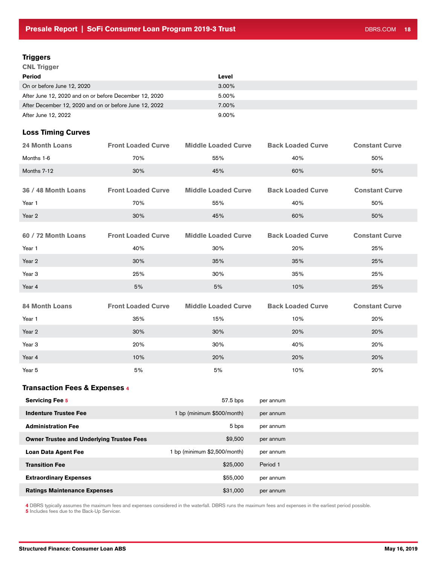### **Triggers**

CNL Trigger

| Period                                                 | Level    |
|--------------------------------------------------------|----------|
| On or before June 12, 2020                             | $3.00\%$ |
| After June 12, 2020 and on or before December 12, 2020 | 5.00%    |
| After December 12, 2020 and on or before June 12, 2022 | 7.00%    |
| After June 12, 2022                                    | $9.00\%$ |

### Loss Timing Curves

| <b>24 Month Loans</b>                            | <b>Front Loaded Curve</b> | <b>Middle Loaded Curve</b>   | <b>Back Loaded Curve</b> | <b>Constant Curve</b> |
|--------------------------------------------------|---------------------------|------------------------------|--------------------------|-----------------------|
| Months 1-6                                       | 70%                       | 55%                          | 40%                      | 50%                   |
| Months 7-12                                      | 30%                       | 45%                          | 60%                      | 50%                   |
|                                                  |                           |                              |                          |                       |
| 36 / 48 Month Loans                              | <b>Front Loaded Curve</b> | <b>Middle Loaded Curve</b>   | <b>Back Loaded Curve</b> | <b>Constant Curve</b> |
| Year 1                                           | 70%                       | 55%                          | 40%                      | 50%                   |
| Year 2                                           | 30%                       | 45%                          | 60%                      | 50%                   |
| 60 / 72 Month Loans                              | <b>Front Loaded Curve</b> | <b>Middle Loaded Curve</b>   | <b>Back Loaded Curve</b> | <b>Constant Curve</b> |
| Year 1                                           | 40%                       | 30%                          | 20%                      | 25%                   |
| Year 2                                           | 30%                       | 35%                          | 35%                      | 25%                   |
| Year <sub>3</sub>                                | 25%                       | 30%                          | 35%                      | 25%                   |
| Year 4                                           | 5%                        | 5%                           | 10%                      | 25%                   |
| <b>84 Month Loans</b>                            | <b>Front Loaded Curve</b> | <b>Middle Loaded Curve</b>   | <b>Back Loaded Curve</b> | <b>Constant Curve</b> |
|                                                  |                           |                              |                          |                       |
| Year 1                                           | 35%                       | 15%                          | 10%                      | 20%                   |
| Year 2                                           | 30%                       | 30%                          | 20%                      | 20%                   |
| Year 3                                           | 20%                       | 30%                          | 40%                      | 20%                   |
| Year 4                                           | 10%                       | 20%                          | 20%                      | 20%                   |
| Year 5                                           | 5%                        | 5%                           | 10%                      | 20%                   |
| <b>Transaction Fees &amp; Expenses 4</b>         |                           |                              |                          |                       |
| <b>Servicing Fee 5</b>                           |                           | 57.5 bps                     | per annum                |                       |
| <b>Indenture Trustee Fee</b>                     |                           | 1 bp (minimum \$500/month)   | per annum                |                       |
| <b>Administration Fee</b>                        |                           | 5 bps                        | per annum                |                       |
| <b>Owner Trustee and Underlying Trustee Fees</b> |                           | \$9,500                      | per annum                |                       |
| <b>Loan Data Agent Fee</b>                       |                           | 1 bp (minimum \$2,500/month) | per annum                |                       |
| <b>Transition Fee</b>                            |                           | \$25,000                     | Period 1                 |                       |

4 DBRS typically assumes the maximum fees and expenses considered in the waterfall. DBRS runs the maximum fees and expenses in the earliest period possible.

Extraordinary Expenses **Extraordinary Expenses Extraordinary Expenses** Ratings Maintenance Expenses **by a strategies of the Case of San America** \$31,000 per annum

**5** Includes fees due to the Back-Up Servicer.